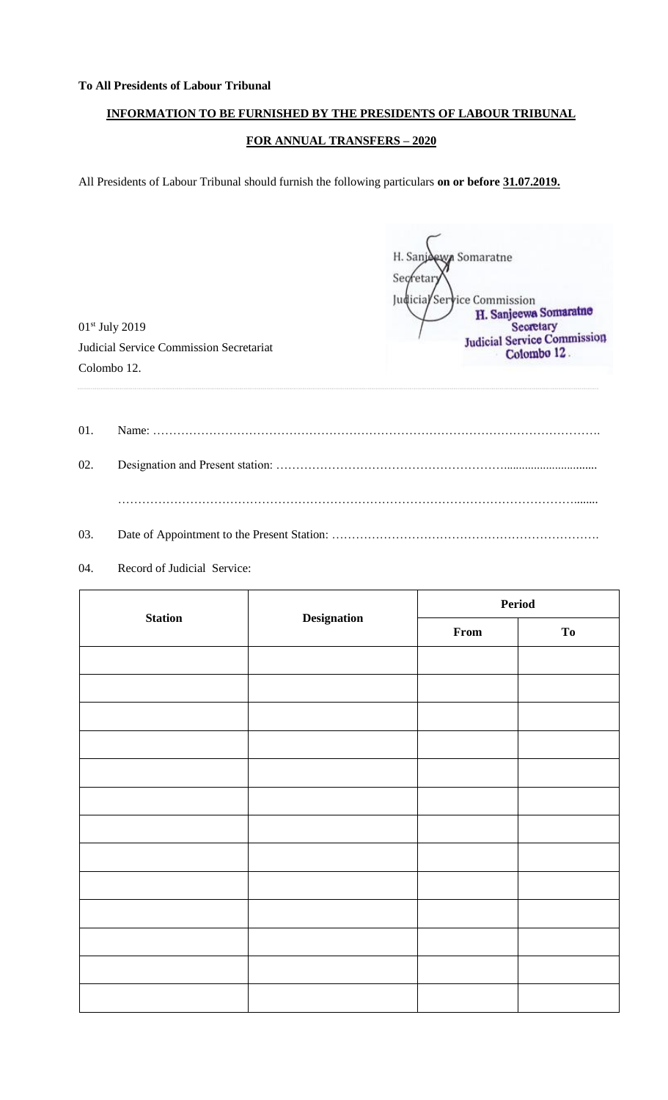### **To All Presidents of Labour Tribunal**

## **INFORMATION TO BE FURNISHED BY THE PRESIDENTS OF LABOUR TRIBUNAL**

## **FOR ANNUAL TRANSFERS – 2020**

All Presidents of Labour Tribunal should furnish the following particulars **on or before 31.07.2019.**

H. Sanj H. Sanj**dewn** Somaratne<br>Secretar  $\left\langle \right\rangle$ Judicial Service Commission<br>H. Sanjeewa Somaratne Secretary<br>Judicial Service Commission Colombo 12.

01st July 2019 Judicial Service Commission Secretariat Colombo 12.

| 01. |  |
|-----|--|
|     |  |
|     |  |
| 02. |  |
|     |  |
|     |  |
|     |  |
|     |  |
|     |  |

# 03. Date of Appointment to the Present Station: ……………………………………………………………………………………

### 04. Record of Judicial Service:

|                | <b>Designation</b> | Period |    |  |
|----------------|--------------------|--------|----|--|
| <b>Station</b> |                    | From   | To |  |
|                |                    |        |    |  |
|                |                    |        |    |  |
|                |                    |        |    |  |
|                |                    |        |    |  |
|                |                    |        |    |  |
|                |                    |        |    |  |
|                |                    |        |    |  |
|                |                    |        |    |  |
|                |                    |        |    |  |
|                |                    |        |    |  |
|                |                    |        |    |  |
|                |                    |        |    |  |
|                |                    |        |    |  |